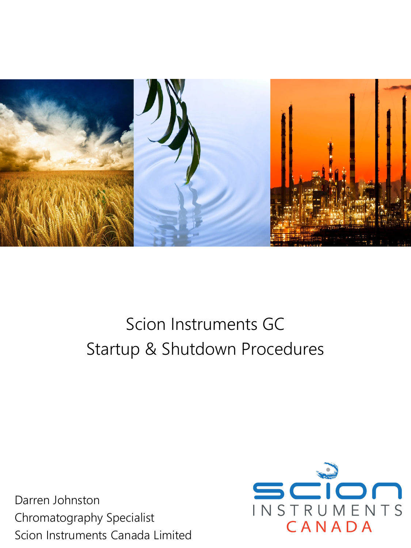

# Scion Instruments GC Startup & Shutdown Procedures

Darren Johnston Chromatography Specialist Scion Instruments Canada Limited

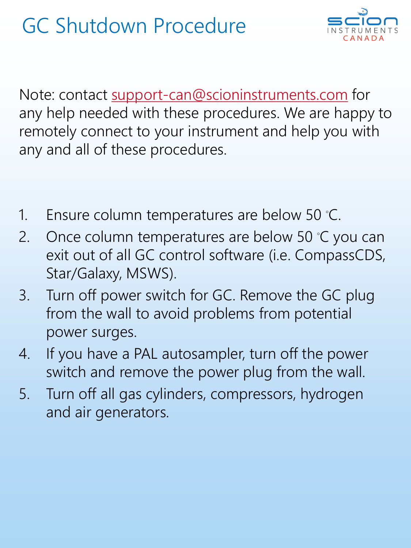

Note: contact [support-can@scioninstruments.com](mailto:service-can@scioninstruments.com) for any help needed with these procedures. We are happy to remotely connect to your instrument and help you with any and all of these procedures.

- 1. Ensure column temperatures are below 50 ℃.
- 2. Once column temperatures are below 50 ℃ you can exit out of all GC control software (i.e. CompassCDS, Star/Galaxy, MSWS).
- 3. Turn off power switch for GC. Remove the GC plug from the wall to avoid problems from potential power surges.
- 4. If you have a PAL autosampler, turn off the power switch and remove the power plug from the wall.
- 5. Turn off all gas cylinders, compressors, hydrogen and air generators.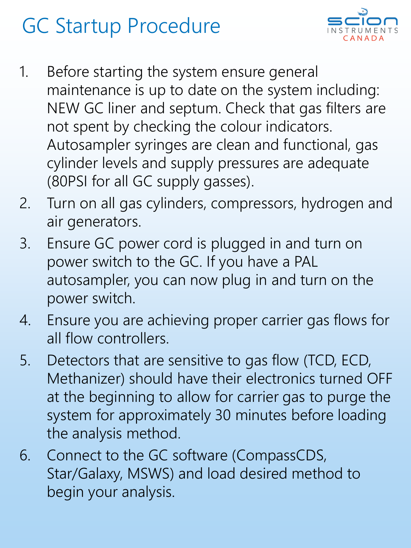# GC Startup Procedure



- 1. Before starting the system ensure general maintenance is up to date on the system including: NEW GC liner and septum. Check that gas filters are not spent by checking the colour indicators. Autosampler syringes are clean and functional, gas cylinder levels and supply pressures are adequate (80PSI for all GC supply gasses).
- 2. Turn on all gas cylinders, compressors, hydrogen and air generators.
- 3. Ensure GC power cord is plugged in and turn on power switch to the GC. If you have a PAL autosampler, you can now plug in and turn on the power switch.
- 4. Ensure you are achieving proper carrier gas flows for all flow controllers.
- 5. Detectors that are sensitive to gas flow (TCD, ECD, Methanizer) should have their electronics turned OFF at the beginning to allow for carrier gas to purge the system for approximately 30 minutes before loading the analysis method.
- 6. Connect to the GC software (CompassCDS, Star/Galaxy, MSWS) and load desired method to begin your analysis.